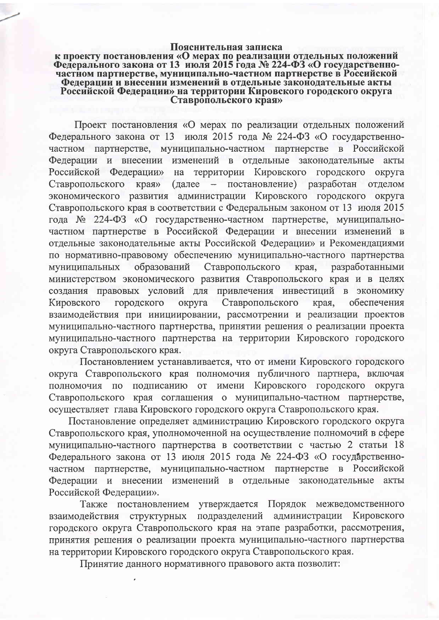## Пояснительная записка

## к проекту постановления «О мерах по реализации отдельных положений Федерального закона от 13 июля 2015 года № 224-ФЗ «О государственночастном партнерстве, муниципально-частном партнерстве в Российской Федерации и внесении изменений в отдельные законодательные акты Российской Федерации» на территории Кировского городского округа<br>Ставропольского края»

Проект постановления «О мерах по реализации отдельных положений Федерального закона от 13 июля 2015 года № 224-ФЗ «О государственночастном партнерстве, муниципально-частном партнерстве в Российской Федерации и внесении изменений в отдельные законодательные акты Российской Федерации» на территории Кировского городского округа постановление) разработан Ставропольского края» (далее  $\,$ отделом экономического развития администрации Кировского городского округа Ставропольского края в соответствии с Федеральным законом от 13 июля 2015 года № 224-ФЗ «О государственно-частном партнерстве, муниципальночастном партнерстве в Российской Федерации и внесении изменений в отдельные законодательные акты Российской Федерации» и Рекомендациями по нормативно-правовому обеспечению муниципально-частного партнерства образований Ставропольского муниципальных края, разработанными министерством экономического развития Ставропольского края и в целях создания правовых условий для привлечения инвестиций в экономику городского Ставропольского Кировского округа края, обеспечения взаимодействия при инициировании, рассмотрении и реализации проектов муниципально-частного партнерства, принятии решения о реализации проекта муниципально-частного партнерства на территории Кировского городского округа Ставропольского края.

Постановлением устанавливается, что от имени Кировского городского округа Ставропольского края полномочия публичного партнера, включая от имени Кировского городского округа полномочия по подписанию Ставропольского края соглашения о муниципально-частном партнерстве, осуществляет глава Кировского городского округа Ставропольского края.

Постановление определяет администрацию Кировского городского округа Ставропольского края, уполномоченной на осуществление полномочий в сфере муниципально-частного партнерства в соответствии с частью 2 статьи 18 Федерального закона от 13 июля 2015 года № 224-ФЗ «О государственночастном партнерстве, муниципально-частном партнерстве в Российской Федерации и внесении изменений в отдельные законодательные акты Российской Федерации».

Также постановлением утверждается Порядок межведомственного подразделений администрации Кировского взаимодействия структурных городского округа Ставропольского края на этапе разработки, рассмотрения, принятия решения о реализации проекта муниципально-частного партнерства на территории Кировского городского округа Ставропольского края.

Принятие данного нормативного правового акта позволит: